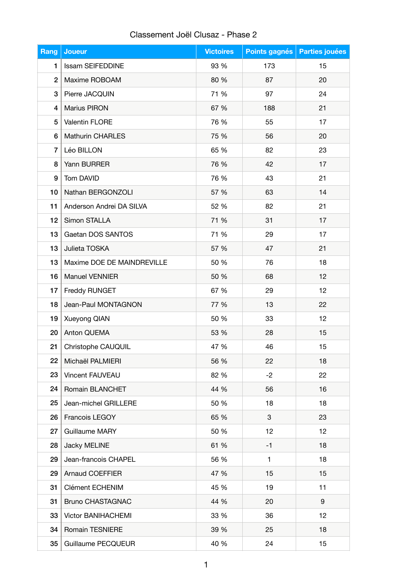## Classement Joël Clusaz - Phase 2

| Rang           | <b>Joueur</b>              | <b>Victoires</b> | Points gagnés | <b>Parties jouées</b> |
|----------------|----------------------------|------------------|---------------|-----------------------|
| 1              | <b>Issam SEIFEDDINE</b>    | 93 %             | 173           | 15                    |
| $\overline{2}$ | Maxime ROBOAM              | 80 %             | 87            | 20                    |
| 3              | Pierre JACQUIN             | 71 %             | 97            | 24                    |
| 4              | Marius PIRON               | 67 %             | 188           | 21                    |
| 5              | Valentin FLORE             | 76 %             | 55            | 17                    |
| 6              | <b>Mathurin CHARLES</b>    | 75 %             | 56            | 20                    |
| 7              | Léo BILLON                 | 65 %             | 82            | 23                    |
| 8              | Yann BURRER                | 76 %             | 42            | 17                    |
| 9              | Tom DAVID                  | 76 %             | 43            | 21                    |
| 10             | Nathan BERGONZOLI          | 57 %             | 63            | 14                    |
| 11             | Anderson Andrei DA SILVA   | 52 %             | 82            | 21                    |
| 12             | Simon STALLA               | 71 %             | 31            | 17                    |
| 13             | Gaetan DOS SANTOS          | 71 %             | 29            | 17                    |
| 13             | Julieta TOSKA              | 57 %             | 47            | 21                    |
| 13             | Maxime DOE DE MAINDREVILLE | 50 %             | 76            | 18                    |
| 16             | Manuel VENNIER             | 50 %             | 68            | 12                    |
| 17             | Freddy RUNGET              | 67 %             | 29            | 12                    |
| 18             | Jean-Paul MONTAGNON        | 77 %             | 13            | 22                    |
| 19             | Xueyong QIAN               | 50 %             | 33            | 12                    |
| 20             | Anton QUEMA                | 53 %             | 28            | 15                    |
| 21             | Christophe CAUQUIL         | 47 %             | 46            | 15                    |
| 22             | Michaël PALMIERI           | 56 %             | 22            | 18                    |
| 23             | Vincent FAUVEAU            | 82 %             | $-2$          | 22                    |
| 24             | Romain BLANCHET            | 44 %             | 56            | 16                    |
| 25             | Jean-michel GRILLERE       | 50 %             | 18            | 18                    |
| 26             | Francois LEGOY             | 65 %             | 3             | 23                    |
| 27             | Guillaume MARY             | 50 %             | 12            | 12                    |
| 28             | Jacky MELINE               | 61 %             | $-1$          | 18                    |
| 29             | Jean-francois CHAPEL       | 56 %             | $\mathbf{1}$  | 18                    |
| 29             | <b>Arnaud COEFFIER</b>     | 47 %             | 15            | 15                    |
| 31             | Clément ECHENIM            | 45 %             | 19            | 11                    |
| 31             | <b>Bruno CHASTAGNAC</b>    | 44 %             | 20            | 9                     |
| 33             | <b>Victor BANIHACHEMI</b>  | 33 %             | 36            | 12                    |
| 34             | Romain TESNIERE            | 39 %             | 25            | 18                    |
| 35             | Guillaume PECQUEUR         | 40 %             | 24            | 15                    |